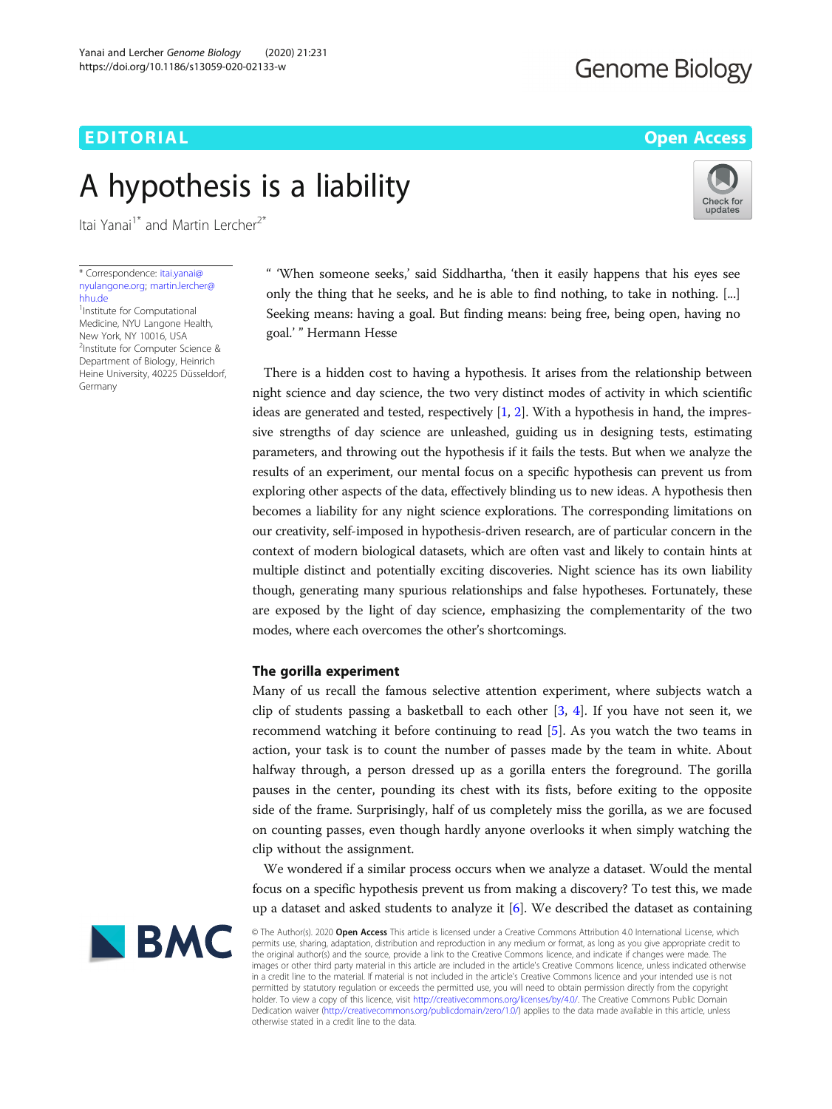# EDITORIAL AND INTERNATIONAL CONTRACT CONTRACT CONTRACT CONTRACT CONTRACT CONTRACT CONTRACT CONTRACT CONTRACT CO

# A hypothesis is a liability

Itai Yanai<sup>1\*</sup> and Martin Lercher<sup>2\*</sup>

## \* Correspondence: [itai.yanai@](mailto:itai.yanai@nyulangone.org) [nyulangone.org;](mailto:itai.yanai@nyulangone.org) [martin.lercher@](mailto:martin.lercher@hhu.de) [hhu.de](mailto:martin.lercher@hhu.de)

1 Institute for Computational Medicine, NYU Langone Health New York, NY 10016, USA <sup>2</sup>Institute for Computer Science & Department of Biology, Heinrich Heine University, 40225 Düsseldorf, Germany

" 'When someone seeks,' said Siddhartha, 'then it easily happens that his eyes see only the thing that he seeks, and he is able to find nothing, to take in nothing. [...] Seeking means: having a goal. But finding means: being free, being open, having no goal.' " Hermann Hesse

There is a hidden cost to having a hypothesis. It arises from the relationship between night science and day science, the two very distinct modes of activity in which scientific ideas are generated and tested, respectively  $[1, 2]$  $[1, 2]$  $[1, 2]$  $[1, 2]$  $[1, 2]$ . With a hypothesis in hand, the impressive strengths of day science are unleashed, guiding us in designing tests, estimating parameters, and throwing out the hypothesis if it fails the tests. But when we analyze the results of an experiment, our mental focus on a specific hypothesis can prevent us from exploring other aspects of the data, effectively blinding us to new ideas. A hypothesis then becomes a liability for any night science explorations. The corresponding limitations on our creativity, self-imposed in hypothesis-driven research, are of particular concern in the context of modern biological datasets, which are often vast and likely to contain hints at multiple distinct and potentially exciting discoveries. Night science has its own liability though, generating many spurious relationships and false hypotheses. Fortunately, these are exposed by the light of day science, emphasizing the complementarity of the two modes, where each overcomes the other's shortcomings.

# The gorilla experiment

Many of us recall the famous selective attention experiment, where subjects watch a clip of students passing a basketball to each other  $[3, 4]$  $[3, 4]$  $[3, 4]$  $[3, 4]$ . If you have not seen it, we recommend watching it before continuing to read [[5\]](#page-4-0). As you watch the two teams in action, your task is to count the number of passes made by the team in white. About halfway through, a person dressed up as a gorilla enters the foreground. The gorilla pauses in the center, pounding its chest with its fists, before exiting to the opposite side of the frame. Surprisingly, half of us completely miss the gorilla, as we are focused on counting passes, even though hardly anyone overlooks it when simply watching the clip without the assignment.

We wondered if a similar process occurs when we analyze a dataset. Would the mental focus on a specific hypothesis prevent us from making a discovery? To test this, we made up a dataset and asked students to analyze it  $[6]$  $[6]$ . We described the dataset as containing



<sup>©</sup> The Author(s). 2020 Open Access This article is licensed under a Creative Commons Attribution 4.0 International License, which permits use, sharing, adaptation, distribution and reproduction in any medium or format, as long as you give appropriate credit to the original author(s) and the source, provide a link to the Creative Commons licence, and indicate if changes were made. The images or other third party material in this article are included in the article's Creative Commons licence, unless indicated otherwise in a credit line to the material. If material is not included in the article's Creative Commons licence and your intended use is not permitted by statutory regulation or exceeds the permitted use, you will need to obtain permission directly from the copyright<br>holder. To view a copy of this licence, visit [http://creativecommons.org/licenses/by/4.0/.](http://creativecommons.org/licenses/by/4.0/) The Dedication waiver [\(http://creativecommons.org/publicdomain/zero/1.0/](http://creativecommons.org/publicdomain/zero/1.0/)) applies to the data made available in this article, unless otherwise stated in a credit line to the data.

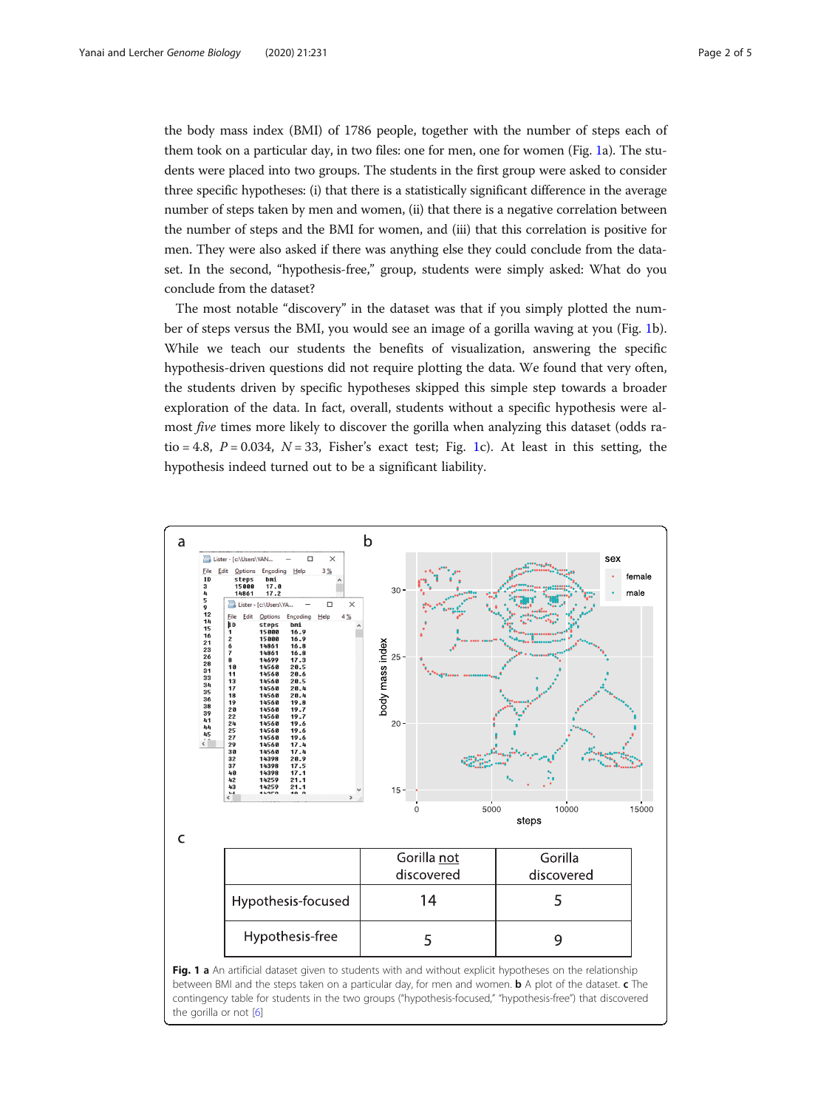the body mass index (BMI) of 1786 people, together with the number of steps each of them took on a particular day, in two files: one for men, one for women (Fig. 1a). The students were placed into two groups. The students in the first group were asked to consider three specific hypotheses: (i) that there is a statistically significant difference in the average number of steps taken by men and women, (ii) that there is a negative correlation between the number of steps and the BMI for women, and (iii) that this correlation is positive for men. They were also asked if there was anything else they could conclude from the dataset. In the second, "hypothesis-free," group, students were simply asked: What do you conclude from the dataset?

The most notable "discovery" in the dataset was that if you simply plotted the number of steps versus the BMI, you would see an image of a gorilla waving at you (Fig. 1b). While we teach our students the benefits of visualization, answering the specific hypothesis-driven questions did not require plotting the data. We found that very often, the students driven by specific hypotheses skipped this simple step towards a broader exploration of the data. In fact, overall, students without a specific hypothesis were almost five times more likely to discover the gorilla when analyzing this dataset (odds ratio = 4.8,  $P = 0.034$ ,  $N = 33$ , Fisher's exact test; Fig. 1c). At least in this setting, the hypothesis indeed turned out to be a significant liability.



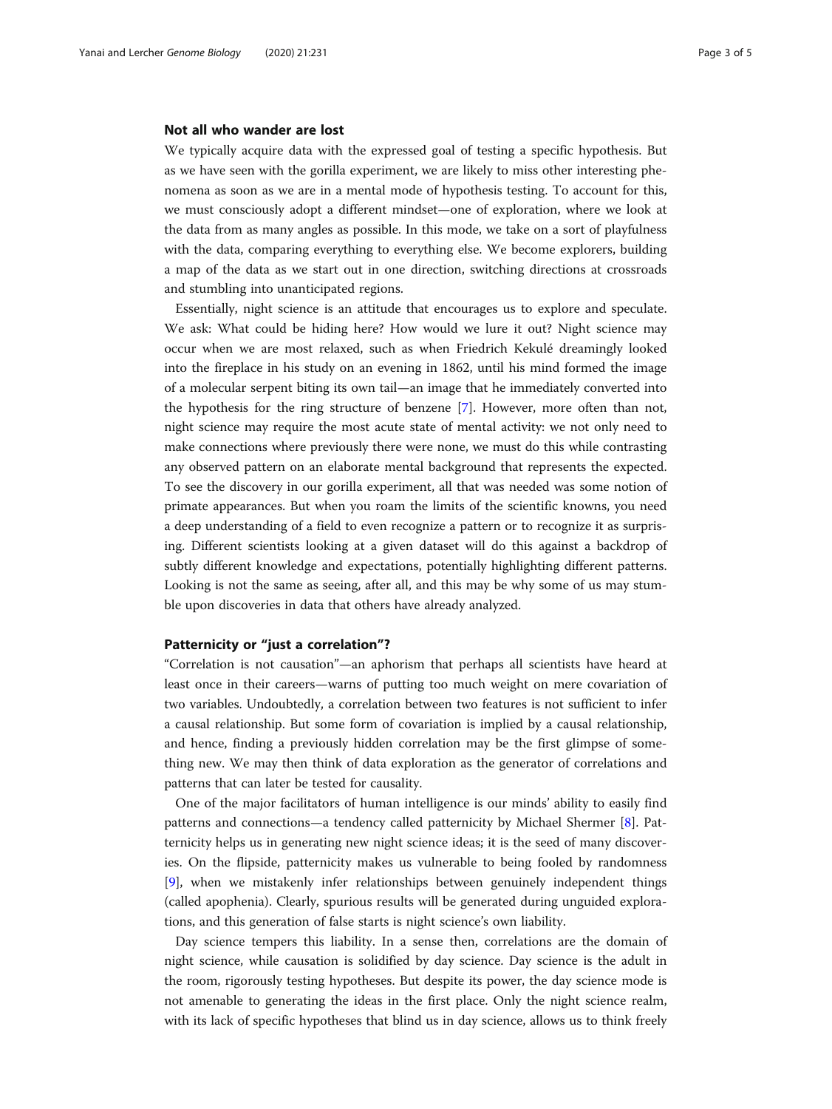## Not all who wander are lost

We typically acquire data with the expressed goal of testing a specific hypothesis. But as we have seen with the gorilla experiment, we are likely to miss other interesting phenomena as soon as we are in a mental mode of hypothesis testing. To account for this, we must consciously adopt a different mindset—one of exploration, where we look at the data from as many angles as possible. In this mode, we take on a sort of playfulness with the data, comparing everything to everything else. We become explorers, building a map of the data as we start out in one direction, switching directions at crossroads and stumbling into unanticipated regions.

Essentially, night science is an attitude that encourages us to explore and speculate. We ask: What could be hiding here? How would we lure it out? Night science may occur when we are most relaxed, such as when Friedrich Kekulé dreamingly looked into the fireplace in his study on an evening in 1862, until his mind formed the image of a molecular serpent biting its own tail—an image that he immediately converted into the hypothesis for the ring structure of benzene [[7\]](#page-4-0). However, more often than not, night science may require the most acute state of mental activity: we not only need to make connections where previously there were none, we must do this while contrasting any observed pattern on an elaborate mental background that represents the expected. To see the discovery in our gorilla experiment, all that was needed was some notion of primate appearances. But when you roam the limits of the scientific knowns, you need a deep understanding of a field to even recognize a pattern or to recognize it as surprising. Different scientists looking at a given dataset will do this against a backdrop of subtly different knowledge and expectations, potentially highlighting different patterns. Looking is not the same as seeing, after all, and this may be why some of us may stumble upon discoveries in data that others have already analyzed.

# Patternicity or "just a correlation"?

"Correlation is not causation"—an aphorism that perhaps all scientists have heard at least once in their careers—warns of putting too much weight on mere covariation of two variables. Undoubtedly, a correlation between two features is not sufficient to infer a causal relationship. But some form of covariation is implied by a causal relationship, and hence, finding a previously hidden correlation may be the first glimpse of something new. We may then think of data exploration as the generator of correlations and patterns that can later be tested for causality.

One of the major facilitators of human intelligence is our minds' ability to easily find patterns and connections—a tendency called patternicity by Michael Shermer [\[8](#page-4-0)]. Patternicity helps us in generating new night science ideas; it is the seed of many discoveries. On the flipside, patternicity makes us vulnerable to being fooled by randomness [[9\]](#page-4-0), when we mistakenly infer relationships between genuinely independent things (called apophenia). Clearly, spurious results will be generated during unguided explorations, and this generation of false starts is night science's own liability.

Day science tempers this liability. In a sense then, correlations are the domain of night science, while causation is solidified by day science. Day science is the adult in the room, rigorously testing hypotheses. But despite its power, the day science mode is not amenable to generating the ideas in the first place. Only the night science realm, with its lack of specific hypotheses that blind us in day science, allows us to think freely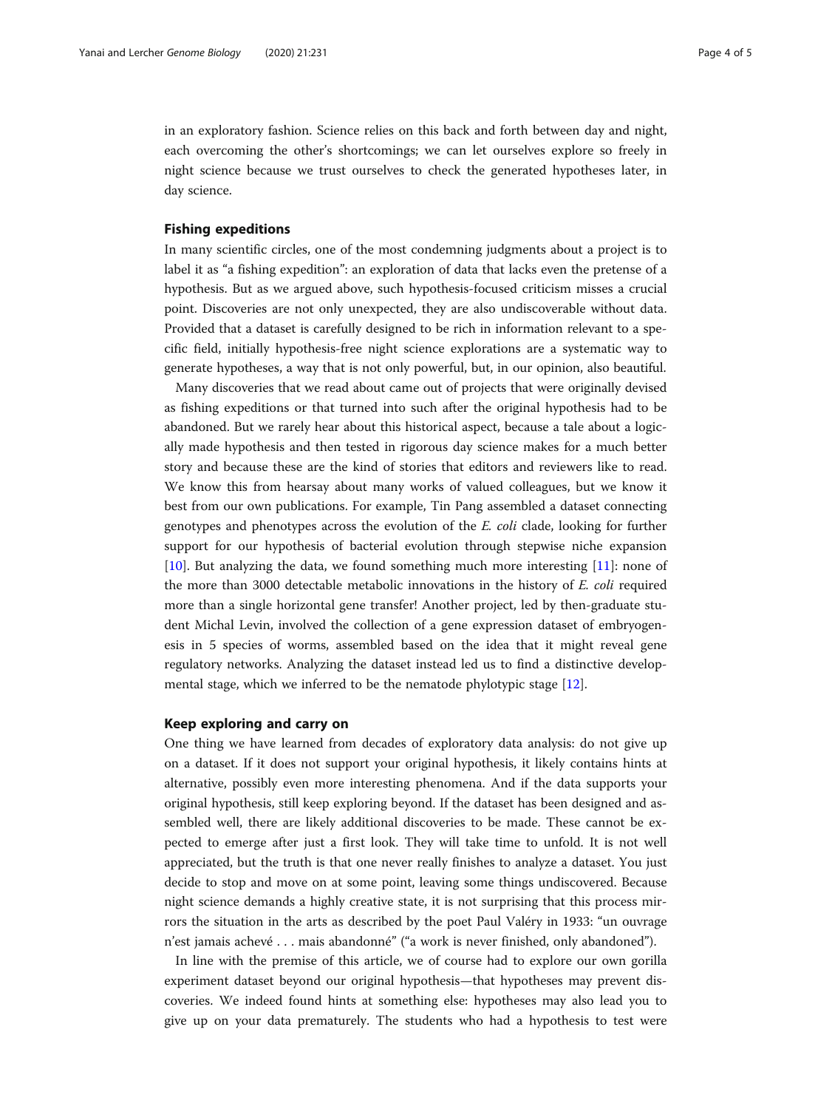in an exploratory fashion. Science relies on this back and forth between day and night, each overcoming the other's shortcomings; we can let ourselves explore so freely in night science because we trust ourselves to check the generated hypotheses later, in day science.

# Fishing expeditions

In many scientific circles, one of the most condemning judgments about a project is to label it as "a fishing expedition": an exploration of data that lacks even the pretense of a hypothesis. But as we argued above, such hypothesis-focused criticism misses a crucial point. Discoveries are not only unexpected, they are also undiscoverable without data. Provided that a dataset is carefully designed to be rich in information relevant to a specific field, initially hypothesis-free night science explorations are a systematic way to generate hypotheses, a way that is not only powerful, but, in our opinion, also beautiful.

Many discoveries that we read about came out of projects that were originally devised as fishing expeditions or that turned into such after the original hypothesis had to be abandoned. But we rarely hear about this historical aspect, because a tale about a logically made hypothesis and then tested in rigorous day science makes for a much better story and because these are the kind of stories that editors and reviewers like to read. We know this from hearsay about many works of valued colleagues, but we know it best from our own publications. For example, Tin Pang assembled a dataset connecting genotypes and phenotypes across the evolution of the E. coli clade, looking for further support for our hypothesis of bacterial evolution through stepwise niche expansion [[10\]](#page-4-0). But analyzing the data, we found something much more interesting [\[11](#page-4-0)]: none of the more than 3000 detectable metabolic innovations in the history of E. coli required more than a single horizontal gene transfer! Another project, led by then-graduate student Michal Levin, involved the collection of a gene expression dataset of embryogenesis in 5 species of worms, assembled based on the idea that it might reveal gene regulatory networks. Analyzing the dataset instead led us to find a distinctive developmental stage, which we inferred to be the nematode phylotypic stage [[12](#page-4-0)].

# Keep exploring and carry on

One thing we have learned from decades of exploratory data analysis: do not give up on a dataset. If it does not support your original hypothesis, it likely contains hints at alternative, possibly even more interesting phenomena. And if the data supports your original hypothesis, still keep exploring beyond. If the dataset has been designed and assembled well, there are likely additional discoveries to be made. These cannot be expected to emerge after just a first look. They will take time to unfold. It is not well appreciated, but the truth is that one never really finishes to analyze a dataset. You just decide to stop and move on at some point, leaving some things undiscovered. Because night science demands a highly creative state, it is not surprising that this process mirrors the situation in the arts as described by the poet Paul Valéry in 1933: "un ouvrage n'est jamais achevé . . . mais abandonné" ("a work is never finished, only abandoned").

In line with the premise of this article, we of course had to explore our own gorilla experiment dataset beyond our original hypothesis—that hypotheses may prevent discoveries. We indeed found hints at something else: hypotheses may also lead you to give up on your data prematurely. The students who had a hypothesis to test were